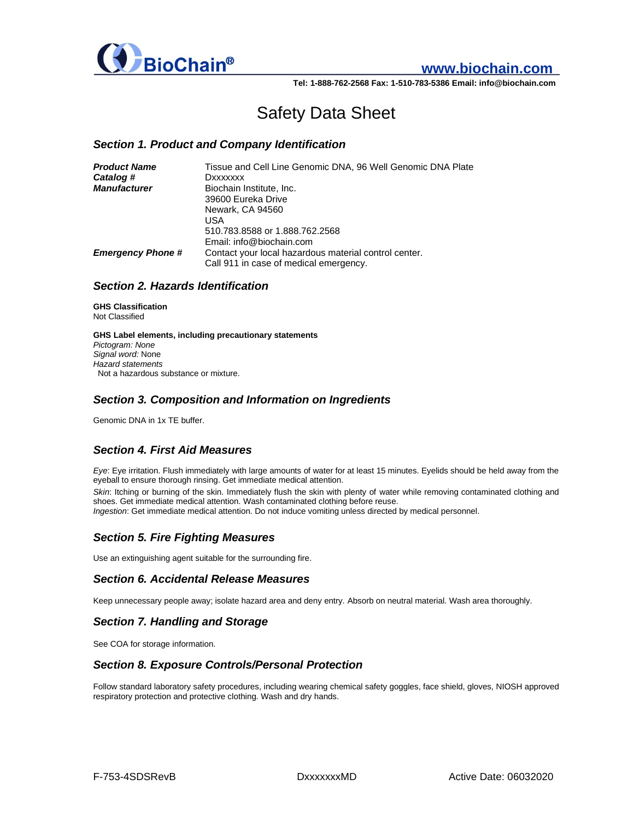

# **www.biochain.com**

**Tel: 1-888-762-2568 Fax: 1-510-783-5386 Email: info@biochain.com**

# Safety Data Sheet

### *Section 1. Product and Company Identification*

| <b>Product Name</b>      | Tissue and Cell Line Genomic DNA, 96 Well Genomic DNA Plate |
|--------------------------|-------------------------------------------------------------|
| Catalog #                | Dxxxxxxx                                                    |
| <b>Manufacturer</b>      | Biochain Institute, Inc.                                    |
|                          | 39600 Eureka Drive                                          |
|                          | Newark, CA 94560                                            |
|                          | USA                                                         |
|                          | 510.783.8588 or 1.888.762.2568                              |
|                          | Email: info@biochain.com                                    |
| <b>Emergency Phone #</b> | Contact your local hazardous material control center.       |
|                          | Call 911 in case of medical emergency.                      |

### *Section 2. Hazards Identification*

**GHS Classification** Not Classified

**GHS Label elements, including precautionary statements** *Pictogram: None Signal word:* None *Hazard statements* Not a hazardous substance or mixture.

### *Section 3. Composition and Information on Ingredients*

Genomic DNA in 1x TE buffer.

### *Section 4. First Aid Measures*

*Eye*: Eye irritation. Flush immediately with large amounts of water for at least 15 minutes. Eyelids should be held away from the eyeball to ensure thorough rinsing. Get immediate medical attention.

*Skin*: Itching or burning of the skin. Immediately flush the skin with plenty of water while removing contaminated clothing and shoes. Get immediate medical attention. Wash contaminated clothing before reuse. *Ingestion*: Get immediate medical attention. Do not induce vomiting unless directed by medical personnel.

### *Section 5. Fire Fighting Measures*

Use an extinguishing agent suitable for the surrounding fire.

### *Section 6. Accidental Release Measures*

Keep unnecessary people away; isolate hazard area and deny entry. Absorb on neutral material. Wash area thoroughly.

### *Section 7. Handling and Storage*

See COA for storage information.

### *Section 8. Exposure Controls/Personal Protection*

Follow standard laboratory safety procedures, including wearing chemical safety goggles, face shield, gloves, NIOSH approved respiratory protection and protective clothing. Wash and dry hands.